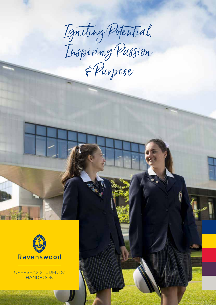Igniting Potential, E Purpose



OVERSEAS STUDENTS' HANDBOOK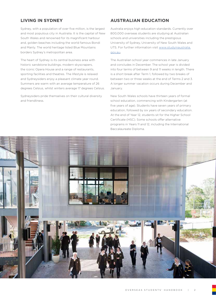## **LIVING IN SYDNEY**

Sydney, with a population of over five million, is the largest and most populous city in Australia. It is the capital of New South Wales and renowned for its magnificent harbour and, golden beaches including the world famous Bondi and Manly. The world heritage listed Blue Mountains borders Sydney's metropolitan area.

The heart of Sydney is its central business area with historic sandstone buildings, modern skyscrapers, the iconic Opera House and a range of restaurants, sporting facilities and theatres. The lifestyle is relaxed and Sydneysiders enjoy a pleasant climate year round. Summers are warm with an average temperature of 26 degrees Celsius, whilst winters average 17 degrees Celsius.

Sydneysiders pride themselves on their cultural diversity and friendliness.

## **AUSTRALIAN EDUCATION**

Australia enjoys high education standards. Currently over 800,000 overseas students are studying at Australian schools and universities including the prestigious University of Sydney, University of New South Wales and UTS. For further information visit www.studyinaustralia. gov.au.

The Australian school year commences in late January and concludes in December. The school year is divided into four terms of between 9 and 11 weeks in length. There is a short break after Term 1, followed by two breaks of between two or three weeks at the end of Terms 2 and 3. A longer summer vacation occurs during December and January.

New South Wales schools have thirteen years of formal school education, commencing with Kindergarten (at five years of age). Students have seven years of primary education, followed by six years of secondary education. At the end of Year 12, students sit for the Higher School Certificate (HSC). Some schools offer alternative programs in Years 11 and 12, including the International Baccalaureate Diploma.

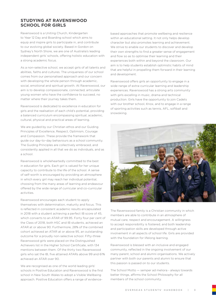### **STUDYING AT RAVENSWOOD SCHOOL FOR GIRLS**

Ravenswood is a Uniting Church, Kindergarten to Year 12 Day and Boarding school which aims to equip and inspire girls to participate in, and contribute to our evolving global society. Based in Gordon on Sydney's North Shore, we are one of Australia's leading independent girls' schools, offering holistic education with a strong academic focus.

As a non-selective school, we accept girls of all talents and abilities, faiths and cultures. The uniqueness of our school comes from our personalised approach and our concern with developing the whole person through academic, social, emotional and spiritual growth. At Ravenswood, our aim is to develop compassionate, connected, articulate young women who have the confidence to succeed, no matter where their journey takes them.

Ravenswood is dedicated to excellence in education for girls and the realisation of each child's potential, providing a balanced curriculum encompassing spiritual, academic, cultural, physical and practical areas of learning.

We are guided by our Christian ethos and our Guiding Principles of Excellence, Respect, Optimism, Courage and Compassion. These provide the framework that guide our day-to–day behaviours as a school community. The Guiding Principles are collectively embraced, and consistently applied in all that we do as individuals, and as a school.

Ravenswood is wholeheartedly committed to the best in education for girls. Each girl is valued for her unique capacity to contribute to the life of the school. A sense of self-worth is encouraged by providing an atmosphere in which every girl may reach her individual potential, choosing from the many areas of learning and endeavour offered by the wide range of curricular and co-curricular activities.

Ravenswood encourages each student to apply themselves with determination, maturity and focus. This is reflected in consistent academic results encapsulated in 2018 with a student achieving a perfect IB score of 45, which converts to an ATAR of 99.95. Forty four per cent of the Class of 2018, both HSC and IB students, achieved an ATAR at or above 90. Furthermore, 28% of the combined cohort achieved an ATAR at or above 95, an outstanding outcome for a proudly non-selective school. Fifty-three Ravenswood girls were placed on the Distinguished Achievers list in the Higher School Certificate, with 134 mentions between them. Of the thirty two Ravenswood girls who sat the IB, five attained ATARs above 99 and 61% achieved an ATAR over 90.

We are recognised as one of the world leading girls' schools in Positive Education and Ravenswood is the first school in New South Wales to adopt a Visible Wellbeing approach. Positive Education offers a range of evidence-

based approaches that promote wellbeing and resilience within an educational setting. It not only helps develop character but also promotes learning and achievement. We strive to enable our students to discover and develop their own strengths to find a greater sense of engagement and flow so as to optimise their learning and their experiences both within and beyond the classroom. Our aim is to help students establish optimistic habits of mind that are helpful in propelling them forward in their learning and development.

Ravenswood offers girls an opportunity to engage in a wide-range of extra-curricular learning and leadership experiences. Ravenswood has a strong arts community with girls excelling in music, drama and technical production. Girls have the opportunity to join Cadets with our brother school, Knox, and to engage in a range of sporting activities such as tennis, AFL, softball and snowskiing.



The Ravenswood family is a Christian community in which members are able to contribute in an atmosphere of mutual care, respect and encouragement. A willingness to accept responsibility is fostered, and both leadership and participation skills are developed through active involvement in all aspects of school life. Girls are provided with the foundation for lifelong learning.

Ravenswood is blessed with an inclusive and engaged community, reflected in the ongoing involvement of our many parent, school and alumni organisations. We actively partner with both our parents and alumni to ensure that this passion is passed on to our students.

The School Motto — semper ad meliora - always towards better things, affirms the School Philosophy for all members of the school community.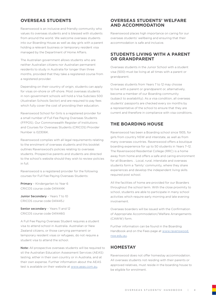## **OVERSEAS STUDENTS**

Ravenswood is an inclusive and friendly community who values its overseas students and is blessed with students from around the world. We welcome overseas students into our Boarding House as well as day girls with a parent holding a relevant business or temporary resident visa managed by the Department of Home Affairs.

The Australian government allows students who are neither Australian citizens nor Australian permanent residents to study in Australia for longer than three months, provided that they take a registered course from a registered provider.

Depending on their country of origin, students can apply for visas on-shore or off-shore. Most overseas students in non-government schools will hold a Visa Subclass 500 (Australian Schools Sector) and are required to pay fees which fully cover the cost of providing their education.

Ravenswood School for Girls is a registered provider for a small number of Full Fee Paying Overseas Students (FFPOS). Our Commonwealth Register of Institutions and Courses for Overseas Students (CRICOS) Provider Number is 02306K.

Ravenswood complies with all legal requirements relating to the enrolment of overseas students and this booklet outlines Ravenswood's policies relating to overseas students. Prospective parents and students are directed to the school's website should they wish to review policies in full.

Ravenswood is a registered provider for the following courses for Full Fee Paying Overseas Students:

Primary - Kindergarten to Year 6 CRICOS course code 041444K

Junior Secondary - Years 7 to 10 CRICOS course code 041445 L

Senior secondary - Years 11 and 12 CRICOS course code 041446G

A Full Fee Paying Overseas Student requires a student visa to attend school in Australia. Australian or New Zealand citizens, or those carrying permanent or temporary resident visas or refugees, do not require a student visa to attend the school.

Note: All prospective overseas students will be required to sit the Australian Education Assessment Services (AEAS) testing, either in their own country or in Australia, and at their own expense. Further information about the AEAS test is available on their website at www.aeas.com.au.

### **OVERSEAS STUDENTS' WELFARE AND ACCOMMODATION**

Ravenswood places high importance on caring for our overseas students' wellbeing and ensuring that their accommodation is safe and inclusive.

### **STUDENTS LIVING WITH A PARENT OR GRANDPARENT**

Overseas students in the Junior School with a student visa (500) must be living at all times with a parent or grandparent.

Overseas students from Years 7 to 12 may choose to live with a parent or grandparent or, alternatively, become a member of our Boarding community (subject to availability). As a visa condition, all overseas students' passports are checked every six months by a representative of the school to ensure that they are current and therefore in compliance with visa conditions.

## **THE BOARDING HOUSE**

Ravenswood has been a Boarding school since 1935, for girls from country NSW and interstate, as well as from many overseas countries. Ravenswood offers a boutique boarding experience for up to 50 students in Years 7–12. The Ravenswood Residential College (RRC) is a home away from home and offers a safe and caring environment for all Boarders. . Local, rural, interstate and overseas students form a 'family' community, where they share experiences and develop the independent living skills required post school.

All the facilities of home are provided for our Boarders throughout the school term. With the close proximity to school, students are able to participate in many school activities which require early morning and late evening involvement.

Overseas boarders will be issued with the Confirmation of Appropriate Accommodation/Welfare Arrangements (CAWW) form.

Further information can be found in the Boarding Handbook and on the Fees page at www.ravenswood. nsw.edu.au.

## **HOMESTAY**

Ravenswood does not offer homestay accommodation. All overseas students not residing with their parents or approved relatives, must reside in the boarding house to be eligible for enrolment.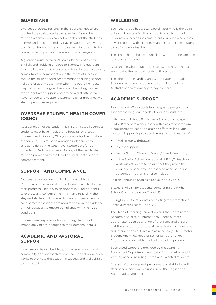## **GUARDIANS**

Overseas students residing in the Boarding House are required to provide a suitable guardian. A guardian must be a person who can act on behalf of the student's parents and be contacted by Ravenswood to give written permission for outings and medical assistance and to be contactable by phone in the event of an emergency.

A guardian must be over 21 years old, be proficient in English, and reside in or close to Sydney. The guardian must be known to the student and be able to provide safe, comfortable accommodation in the event of illness, or should the student need accommodation during school holidays or at any other time when the boarding house may be closed. The guardian should be willing to assist the student with support and advice whilst attending Ravenswood and to attend parent/teacher meetings with staff in person as required.

## **OVERSEAS STUDENT HEALTH COVER (OSHC)**

As a condition of the student visa (500 visas) all overseas students must have medical and hospital Overseas Student Health Cover (OSHC) insurance for the duration of their visa. This must be arranged independently as a condition of the CoE. Ravenswood's preferred provider is Medibank Private. A copy of the certificate must be probvided to the Head of Enrolments prior to commencement.

## **SUPPORT AND COMPLIANCE**

Overseas students are required to meet with the Coordinator International Students each term to discuss their progress. This is also an opportunity for students to express any concerns they may have regarding their stay and studies in Australia. At the commencement of each semester students are required to provide evidence of their passport to ensure compliance with their visa conditions.

Students are responsible for informing the school immediately of any changes to their personal details.

### **ACADEMIC AND PASTORAL SUPPORT**

Ravenswood has embedded positive education into its community and approach to learning. The school actively works to promote the academic success and wellbeing of each student.

## **WELLBEING**

Each year group has a Year Coordinator who is the point of liaison between families, students and the school. Students are placed into small Mentor groups where they develop bonds with their peers and are under the pastoral care of a Mentor teacher.

The school has in house counsellors who students are able to access as needed.

As a Uniting Church School, Ravenswood has a chaplain who guides the spiritual needs of the school.

The Director of Boarding and Coordinator International Students assist new students to settle into their life in Australia and with any day to day concerns.

## **ACADEMIC SUPPORT**

Ravenswood offers specialised language programs to support the language needs of overseas students.

In the Junior School, English as a Second Language (EAL/D) teachers work closely with class teachers from Kindergarten to Year 6 to provide effective language support. Support is provided through a combination of:

- Small group withdrawal
- In class support
- Before School Classes (Years 3/ 4 and Years 5/ 6)
- In the Senior School, our specialist EAL/D teachers work with students to ensure that they reach the language proficiency necessary to achieve course outcomes. Programs offered include:

English Language Studies elective (Years 7 to 10).

EAL/D English – for students completing the Higher School Certificate (Years 11 and 12).

IB English B – for students completing the International Baccalaureate (Years 11 and 12).

The Head of Learning Innovation and the Coordinator Academic Studies or International Baccalaureate Coordinator oversee a range of programs and ensure that the academic progress of each student is monitored and interventions put in place as necessary. The Director Student Analytics, Head of Senior School and Year Coordinator assist with monitoring student progress.

Specialised support is provided by the Learning Enrichment Department who cater for girls with specific learning needs, including Gifted and Talented students.

A range of extra support programs is available, including after school homework clubs run by the English and Mathematics Department.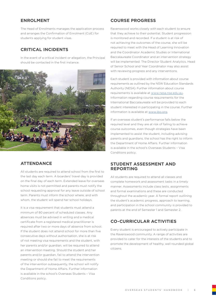## **ENROLMENT**

The Head of Enrolments manages the application process and arranges the Confirmation of Enrolment (CoE) for students applying for student visas.

## **CRITICAL INCIDENTS**

In the event of a critical incident or allegation, the Principal should be contacted in the first instance.



### **ATTENDANCE**

All students are required to attend school from the first to the last day each term. A boarders' travel day is provided on the final day of each term. Extended leave for overseas home visits is not permitted and parents must notify the school requesting approval for any leave outside of school term. Parents must inform the school where, and with whom, the student will spend her school holidays.

It is a visa requirement that students must attend a minimum of 80 percent of scheduled classes. Any absences must be advised in writing and a medical certificate from a registered medical practitioner is required after two or more days of absence from school. If the student does not attend school for more than five consecutive days without authorisation, she is at risk of not meeting visa requirements and the student, with her parents and/or guardian, will be required to attend an intervention meeting. Should the student and her parents and/or guardian, fail to attend the intervention meeting or should she fail to meet the requirements of the intervention subsequently, the school will notify the Department of Home Affairs. Further information is available in the school's Overseas Students – Visa Conditions policy.

## **COURSE PROGRESS**

Ravenswood works closely with each student to ensure that they achieve to their potential. Student progression is monitored and recorded. If a student is at risk of not achieving the outcomes of the course, she will be required to meet with the Head of Learning Innovation and the Coordinator Academic Studies or International Baccalaureate Coordinator and an intervention strategy will be implemented. The Director Student Analytics, Head of Senior School and Year Coordinator may also assist with reviewing progress and any interventions.

Each student is provided with information about course requirements as outlined by the NSW Education Standards Authority (NESA). Further information about course requirements is available at www.nesa.nse.edu.au. Information regarding course requirements for the International Baccalaureate will be provided to each student interested in participating in the course. Further information is available at www.ibo.org.

If an overseas student's performance falls below the required level and they are at risk of failing to achieve course outcomes, even though strategies have been implemented to assist the student, including advising parents and guardians, the school has the right to inform the Department of Home Affairs. Further information is available in the school's Overseas Students – Visa Conditions policy.

### **STUDENT ASSESSMENT AND REPORTING**

All students are required to attend all classes and complete homework and assessment tasks in a timely manner. Assessments include class tests, assignments and formal examinations and these are conducted throughout the academic year. A formal report outlining the student's academic progress, approach to learning, and participation in the school community is provided to parents at the end of Semester 1 and Semester 2.

# **CO-CURRICULAR ACTIVITIES**

Every student is encouraged to actively participate in the Ravenswood community. A range of activities are provided to cater for the interests of the students and to promote the development of healthy, well rounded global citizens.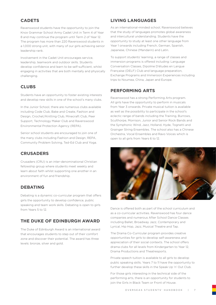# **CADETS**

Ravenswood students have the opportunity to join the Knox Grammar School Army Cadet Unit in Term 4 of Year 8 and may continue the program until Term 2 of Year 12. The program has more than 220 Ravenswood students in a 1,000 strong unit, with many of our girls achieving senior leadership rank.

Involvement in the Cadet Unit encourages service, leadership, teamwork and outdoor skills. Students develop confidence and learn to be self-sufficient, whilst engaging in activities that are both mentally and physically challenging.

# **CLUBS**

Students have an opportunity to foster existing interests and develop new skills in one of the school's many clubs.

In the Junior School, there are numerous clubs available including Code Club, Bake and Create, Fashion and Design, Crochet/Knitting Club, Minecraft Club, Peer Support, Technology Maker Club and Ravenswood Environmental Protection Agency (REPA).

Senior school students are encouraged to join one of the many clubs including Fashion and Design, REPA, Community Problem Solving, Ted-Ed Club and Yoga.

# **CRUSADERS**

Crusaders (CRU) is an inter-denominational Christian fellowship group where students meet weekly and learn about faith whilst supporting one another in an environment of fun and friendship.

## **DEBATING**

Debating is a dynamic co-curricular program that offers girls the opportunity to develop confidence, public speaking and team work skills. Debating is open to girls from Years 5 to 12.

# **THE DUKE OF EDINBURGH AWARD**

The Duke of Edinburgh Award is an international award that encourages students to step out of their comfort zone and discover their potential. The award has three levels: bronze, silver and gold.

# **LIVING LANGUAGES**

As an international-minded school, Ravenswood believes that the study of languages promotes global awareness and intercultural understanding. Students have the opportunity to study at least one other language from Year 1 onwards including French, German, Spanish, Japanese, Chinese (Mandarin) and Latin.

To support students' learning, a range of classes and immersion programs is offered including: Language Conversation Classes, Dipolme D'études en Langue Française (DELF) Club and language preparation, Exchange Programs and Immersion Experiences including trips to Noumea, China, Japan and Europe.

## **PERFORMING ARTS**

Ravenswood has a strong Performing Arts program. All girls have the opportunity to perform in musicals from Year 3 onwards. Private musical tuition is available as well as the possibility to participate in the school's eclectic range of bands including the Training, Burrows, Sculthorpe, Morrison, Junior and Senior Rock Bands and the Symphonic Wind, Jazz, Holland, Hyde, Tognetti and Grainger String Ensembles. The school also has a Chinese Orchestra, Vocal Ensembles and Ravo Voices which is open to all girls from Years 6 to 12.



Dance is offered both as part of the school curriculum and as a co-curricular activities. Ravenswood has four dance companies and numerous After School Dance Classes including Ballet, Broadway Jazz, Contemporary and Lyrical, Hip Hop, Jazz, Musical Theatre and Tap.

The Drama Co-Curricular program provides creative opportunities for girls to develop self-awareness and appreciation of their social contexts. The school offers drama clubs for all levels from Kindergarten to Year 12, Drama Productions and Theatresports.

Private speech tuition is available to all girls to develop public speaking skills. Years 7 to 11 have the opportunity to further develop these skills in the Speak Up 'n' Out Club.

For those girls interesting in the technical side of the performing arts, there is an opportunity for students to join the Girls in Black Team or Front of House.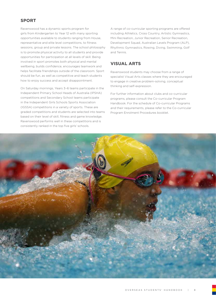## **SPORT**

Ravenswood has a dynamic sports program for girls from Kindergarten to Year 12 with many sporting opportunities available to students ranging from House, representative and elite level competitions, to fitness sessions, group and private lessons. The school philosophy is to promote physical activity to all students and provide opportunities for participation at all levels of skill. Being involved in sport promotes both physical and mental wellbeing, builds confidence, encourages teamwork and helps facilitate friendships outside of the classroom. Sport should be fun, as well as competitive and teach students how to enjoy success and accept disappointment.

On Saturday mornings, Years 3–6 teams participate in the Independent Primary School Heads of Australia (IPSHA) competitions and Secondary School teams participate in the Independent Girls Schools Sports Association (IGSSA) competitions in a variety of sports. These are graded competitions and students are selected into teams based on their level of skill, fitness and game knowledge. Ravenswood performs well in these competitions and is consistently ranked in the top five girls' schools.

A range of co-curricular sporting programs are offered including Athletics, Cross Country, Artistic Gymnastics, Mini Recreation, Junior Recreation, Senior Recreation, Development Squad, Australian Levels Program (ALP), Rhythmic Gymnastics, Rowing, Diving, Swimming, Golf and Tennis.

## **VISUAL ARTS**

Ravenswood students may choose from a range of specialist Visual Arts classes where they are encouraged to engage in creative problem-solving, conceptual thinking and self-expression.

For further information about clubs and co-curricular programs, please consult the Co-curricular Program Handbook. For the schedule of Co-curricular Programs and their requirements, please refer to the Co-curricular Program Enrolment Procedures booklet.

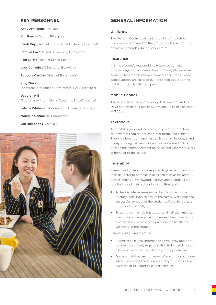## **KEY PERSONNEL**

Anne Johnstone (Principal)

Kim Bence (Deputy Principal)

Sarah Guy (Head of Junior School - Deputy Principal)

Carolyn Gavel (Head of Learning Innovation)

Pam Elliott (Head of Senior School)

Lucy Cumming (Director of Boarding)

Rebecca Carolan (Head of Enrolments)

Ying Zhuo (Assistant International Enrolments, EAL/D teacher)

Deborah Hill (Coordinator International Students, EAL/D teacher)

Juliana Whiteman (Coordinator Academic Studies)

Monique Connor (IB Coordinator)

Jon Humphries (Chaplain)



## **GENERAL INFORMATION**

#### Uniforms

The Uniform Centre is the only supplier of the school uniform and is located on the grounds of the school. It is open every Monday during school term.

#### Insurance

It is the student's responsibility to take out private insurance against accidental loss or damage to personal items such as mobile phones, cameras and iPads. Schoolissued laptops are covered by the School as part of the rental program for this equipment.

#### Mobile Phones

The school has a no phone policy. Girls are required to leave phones in their locker by 7.30am until close of school at 3.25pm.

#### **Textbooks**

A booklist is provided for each group with information as to what is required for each year group and subject. There is a bookroom open in the School on Tuesday's and Friday's during the term. Books can be ordered online prior to the commencement of the school year for delivery at home or to the school.

### Indemnity

Parents and guardians are required to give permission for their daughter to participate in all activities associated with attending Ravenswood. Parents and guardians are required to delegate authority to the Principal:

- To take whatever reasonable disciplinary action is deemed necessary to ensure the safety, wellbeing and successful conduct of the students of the School as a group or individually.
- To authorise their delegates to obtain all such medical assistance as required, and to make all such decisions as they deem necessary to preserve the health and wellbeing of the student.

Parents and guardians must:

- Submit the Medical Information Form (provided prior to commencement) regarding the student and include details of limitations which apply for any activities.
- Declare that they are not aware of any other conditions which may affect the student's ability to study or live in Australia or take part in school activities.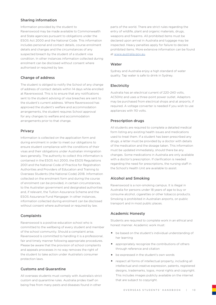### Sharing information

Information provided by the student to Ravenswood may be made available to Commonwealth and State agencies pursuant to obligations under the ESOS Act 2000 and the National Code. This information includes personal and contact details, course enrolment details and changes and the circumstances of any suspected breach by the student of a student visa condition. In other instances information collected during enrolment can be disclosed without consent where authorised or required by law.

### Change of address

The student is obliged to notify the School of any change of address of contact details within 14 days while enrolled at Ravenswood. This is to ensure that any notifications sent to the student advising of visa breaches are sent to the student's current address. Where Ravenswood has approved the student's welfare and accommodation arrangements, the student requires School approval for any changes to welfare and accommodation arrangements prior to that change.

### Privacy

Information is collected on the application form and during enrolment in order to meet our obligations to ensure student compliance with the conditions of their visas and their obligations under Australian immigration laws generally. The authority to collect this information is contained in the ESOS Act 2000, the ESOS Regulations 2001 and the National Code of Practice for Registration Authorities and Providers of Education and Training to Overseas Students (the National Code) 2018. Information collected on the enrolment form and during the course of enrolment can be provided, in certain circumstances, to the Australian government and designated authorities and, if relevant, the Tuition Assurance Scheme and the ESOS Assurance Fund Mangager. In other instances, information collected during enrolment can be disclosed without consent where authorised or required by law.

### Complaints

Ravenswood is a positive education school who is committed to the wellbeing of every student and member of the school community. Should a complaint arise, Ravenswood is committed to handling it is a professional, fair and timely manner following appropriate procedures. Please be aware that the provision of school complaints and appeals processes in no way removes the right of the student to take action under Australia's consumer protection laws.

### Customs and Quarantine

All overseas students must comply with Australia's strict custom and quarantine rules. Australia prides itself on being free from many pests and diseases found in other

parts of the world. There are strict rules regarding the entry of wildlife, plant and organic materials, drugs, weapons and firearms. All prohibited items must be declared upon arrival in Australia and luggage may be inspected. Heavy penalties apply for failure to declare prohibited items. More extensive information can be found at www.australia.gov.au.

#### **Water**

Sydney and Australia enjoy a high standard of water quality. Tap water is safe to drink in Sydney.

### **Electricity**

Australia has an electrical current of 220-240 volts, AC50Hz and uses a three-point power outlet. Adaptors may be purchased from electrical shops and at airports, if required. A voltage converter is needed if you wish to use appliances with 110 volts.

### Prescription drugs

All students are required to complete a detailed medical form listing any existing health issues and medications used to treat them. If a student has been prescribed any drugs, a letter must be provided by a doctor with details of the medication and the dosage taken. This information must be updated immediately, should there be any changes. Some medications in Australia are only available with a doctor's prescription. If clarification is needed regarding the need for prescriptions, the nursing staff in the School's Health Unit are available to assist.

### Alcohol and Smoking

Ravenswood is a non-smoking campus. It is illegal in Australia for persons under 18 years of age to buy or consume alcohol, cigarettes or other tobacco products. Smoking is prohibited in Australian airports, on public transport and in most public places.

### Academic Honesty

Students are required to complete work in an ethical and honest manner. Academic work must:

- be based on the student's individual understanding of her learning
- appropriately recognize the contributions of others through reference and citation
- be expressed in the student's own words
- respect all forms of intellectual property, including all intellectual and creative expression, patents, registered designs, trademarks, logos, moral rights and copyright. This includes images publicly available on the internet that are subject to copyright.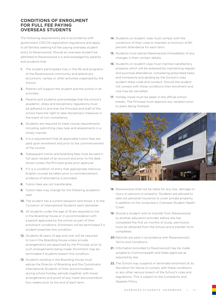### **CONDITIONS OF ENROLMENT FOR FULL FEE PAYING OVERSEAS STUDENTS**

The following requirements are in accordance with government CRICOS registration regulations and apply to all families seeking full fee paying overseas student entry to Ravenswood. Should an overseas student be admitted to Ravenswood it is acknowledged by parents and students that:

- 1. The student participates fully in the life and programs of the Ravenswood community and attend any excursions, camps or other activities organised by the School.
- 2. Parents will support the student and the school in all activities.
- 3. Parents and students acknowledge that the school's academic, dress and disciplinary regulations must be adhered to and that the Principal and staff of the school have the right to take disciplinary measures in the event of non-compliance.
- 4. Students are required to meet course requirements including submitting class task and assessments in a timely manner.
- 5. It is a requirement that all applicable tuition fees are paid upon enrolment and prior to the commencement of the course.
- 6. Subsequent tuition and boarding fees must be paid in full upon receipt of an account and prior to the date shown unless the Principal gives prior approval.
- 7. If it is a condition of entry that appropriate intensive English courses be taken prior to commencement, evidence of attendance is provided.
- 8. Tuition fees are not transferable.
- 9. Tuition fees may change for the following academic year.
- 10. The student has a current passport and shows it to the Convenor of International Students each Semester.
- 11. All students under the age of 18 are required to live in the Boarding House or in accommodation with a parent approved by the school as part of their enrolment conditions. Enrolment will be terminated if a student breaches this condition.
- 12. Students 18 years of age and over will be required to live in the Boarding House unless private arrangements are approved by the Principal, prior to such arrangements being made. Enrolment may be terminated if students breach this condition.
- 13. Students residing in the Boarding House must advise the Director of Boarding and the Coordinator International Students of their accommodation during school holiday periods together with travel arrangements and proof of any travel documentation four weeks prior to the end of each term.
- 14. Students on student visas must comply with the conditions of their visas to maintain a minimum of 80 percent attendance for each term.
- 15. Students must advise Ravenswood immediately of any changes in their contact details.
- 16. Students on student visas must maintain satisfactory progress which will be assessed by maintaining regular and punctual attendance, completing prescribed tasks and homework and abiding by the School's rules, student dress code and conduct. Should the student not comply with these conditions their enrolment and visa may be cancelled.
- 17. Holiday travel must be taken in the official school breaks. The Principal must approve any variation prior to plans being finalised.



- 18. Ravenswood shall not be liable for any loss, damage or injury to persons or property. Students are advised to take out personal insurance to cover private property in addition to the compulsory Overseas Student Health Cover
- 19. Should a student wish to transfer from Ravenswood to another education provider before she has completed the first six months of study, permission must be obtained from the School and a transfer form completed.
- 20. Refunds are paid in accordance with Ravenswood's Terms and Conditions.
- 21. Information provided to Ravenswood may be made avilable to Commonwealth and State agencies as required by law.
- 22. The School may suspend or terminate enrolment at its discretion for failure to comply with these conditions or any other serious breach of the School's rules and regulations. This is subject to the Complaints and Appeals Policy.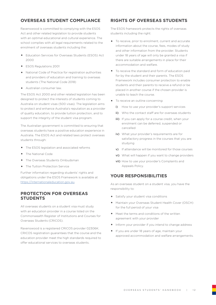# **OVERSEAS STUDENT COMPLIANCE**

Ravenswood is committed to complying with the ESOS Act and other related legislation to provide students with an optimal educational and cultural experience. The school complies with all legal requirements related to the enrolment of overseas students including the:

- Education Services for Overseas Students (ESOS) Act 2000
- ESOS Regulations 2001
- National Code of Practice for registration authorities and providers of education and training to overseas students (The National Code 2018)
- Australian consumer law.

The ESOS Act 2000 and other related legislation has been designed to protect the interests of students coming to Australia on student visas (500 visas). The legislation aims to protect and enhance Australia's reputation as a provider of quality education, to provide tuition protection, and to support the integrity of the student visa program.

The Australian government is committed to ensuring that overseas students have a positive education experience in Australia. The ESOS Act and related laws protect overseas students through:

- The ESOS legislation and associated reforms
- The National Code
- The Overseas Students Ombudsman
- The Tuition Protection Service

Further information regarding students' rights and obligations under the ESOS Framework is available at https://internationaleducation.gov.au.

## **PROTECTION FOR OVERSEAS STUDENTS**

All overseas students on a student visa must study with an education provider in a course listed on the Commonwealth Register of Institutions and Courses for Overseas Students (CRICOS).

Ravenswood is a registered CRICOS provider 02306K. CRICOS registration guarantees that the course and the education provider meet the high standards required to offer educational services to overseas students.

# **RIGHTS OF OVERSEAS STUDENTS**

The ESOS framework protects the rights of overseas students including the right:

- To receive, prior to enrolment, current and accurate information about the course, fees, modes of study and other information from the provider. Students under 18 years of age will only be granted a visa if there are suitable arrangements in place for their accommodation and welfare.
- To receive the standard and form of education paid for by the student and their parents. The ESOS Framework includes consumer protection to enable students and their parents to receive a refund or be placed in another course if the chosen provider is unable to teach the course.
- To receive an outline concerning:
	- i) How to use your provider's support services
	- ii) Who the contact staff are for overseas students
	- iii) If you can apply for a course credit, when your enrolment can be deferred, suspended or cancelled
	- iv) What your provider's requirements are for satisfactory progress in the courses that you are studying
	- v) If attendance will be monitored for those courses
	- vi) What will happen if you want to change providers
	- vii) How to use your provider's Complaints and Appeals Policy.

## **YOUR RESPONSIBILITIES**

As an overseas student on a student visa, you have the responsibility to:

- Satisfy your student visa conditions
- Maintain your Overseas Student Health Cover (OSCH) for the full period of your visa
- Meet the terms and conditions of the written agreement with your provider
- Inform your provider if you intend to change address
- If you are under 18 years of age, maintain your approved accommodation and welfare arrangements.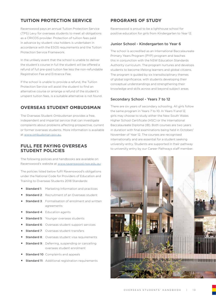# **TUITION PROTECTION SERVICE**

Ravenswood pays an annual Tuition Protection Service (TPS) Levy for overseas students to meet all obligations as a CRICOS provider. Protection of tuition fees paid in advance by student visa holders is undertaken in accordance with the ESOS requirements and the Tuition Protection Service Framework.

In the unlikely event that the school is unable to deliver the student's course in full the student will be offered a refund of full pre-paid tuition fee less the non-refundable Registration Fee and Entrance Fee.

If the school is unable to provide a refund, the Tuition Protection Service will assist the student to find an alternative course or arrange a refund of the student's unspent tuition fees, is a suitable alternative is not found.

## **OVERSEAS STUDENT OMBUDSMAN**

The Overseas Student Ombudsman provides a free, independent and impartial service that can investigate complaints about problems affecting prospective, current or former overseas students. More information is available at www.ombudsman.gov.au.

### **FULL FEE PAYING OVERSEAS STUDENT POLICIES**

The following policies and handbooks are available on Ravenswood's website at www.ravenswood.nsw.edu.au:

The policies listed below fulfil Ravenswood's obligations under the National Code for Providers of Education and Training to Overseas Students 2018 Standards:

- **Standard 1:** Marketing Information and practices
- **Standard 2:** Recruitment of an Overseas student
- **Standard 3:** Formalisation of enrolment and written agreements
- **Standard 4: Education agents**
- **Standard 5: Younger overseas students**
- **Standard 6:** Overseas student support services
- **Standard 7:** Overseas student transfers
- **Standard 8:** Overseas student visa requirements
- **Standard 9:** Deferring, suspending or cancelling overseas student enrolment
- **Standard 10: Complaints and appeals**
- **Standard 11:** Additional registration requirements

### **PROGRAMS OF STUDY**

Ravenswood is proud to be a lighthouse school for positive education for girls from Kindergarten to Year 12.

#### Junior School - Kindergarten to Year 6

The school is accredited as an International Baccalaureate Primary Years Program (PYP) program and teaches this in conjunction with the NSW Education Standards Authority curriculum. The program nurtures and develops students to become lifelong learners and global citizens. The program is guided by six transdisciplinary themes of global significance, with students developing their conceptual understandings and strengthening their knowledge and skills across and beyond subject areas.

#### Secondary School - Years 7 to 12

There are six years of secondary schooling. All girls follow the same program in Years 7 to 10. In Years 11 and 12, girls may choose to study either the New South Wales Higher School Certificate (HSC) or the International Baccalaureate Diploma (IB). Both courses are two years in duration with final examinations being held in October/ November of Year 12. The courses are recognised internationally and are essential for a student seeking university entry. Students are supported in their pathway to university entry by our Career Pathways staff member.